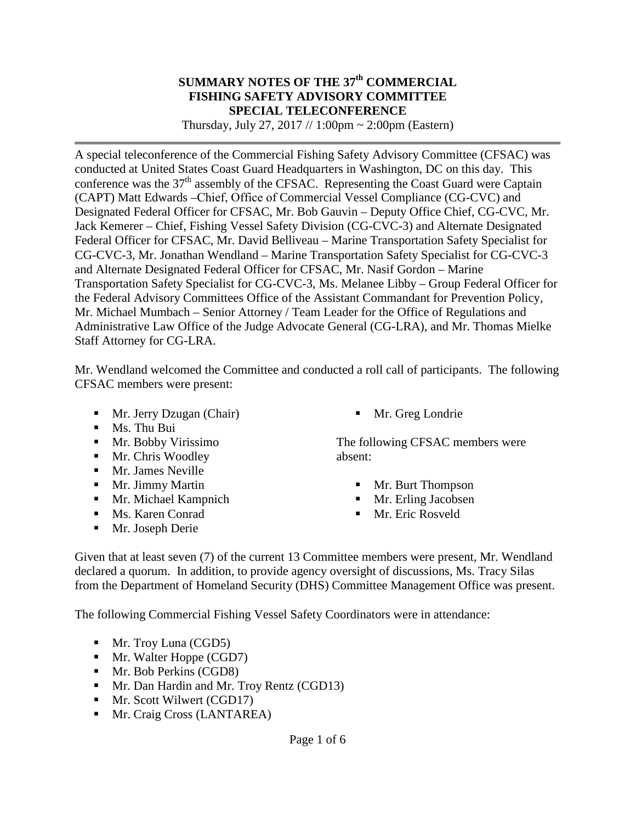#### **SUMMARY NOTES OF THE 37th COMMERCIAL FISHING SAFETY ADVISORY COMMITTEE SPECIAL TELECONFERENCE**

Thursday, July 27, 2017 // 1:00pm  $\sim$  2:00pm (Eastern)

A special teleconference of the Commercial Fishing Safety Advisory Committee (CFSAC) was conducted at United States Coast Guard Headquarters in Washington, DC on this day. This conference was the  $37<sup>th</sup>$  assembly of the CFSAC. Representing the Coast Guard were Captain (CAPT) Matt Edwards –Chief, Office of Commercial Vessel Compliance (CG-CVC) and Designated Federal Officer for CFSAC, Mr. Bob Gauvin – Deputy Office Chief, CG-CVC, Mr. Jack Kemerer – Chief, Fishing Vessel Safety Division (CG-CVC-3) and Alternate Designated Federal Officer for CFSAC, Mr. David Belliveau – Marine Transportation Safety Specialist for CG-CVC-3, Mr. Jonathan Wendland – Marine Transportation Safety Specialist for CG-CVC-3 and Alternate Designated Federal Officer for CFSAC, Mr. Nasif Gordon – Marine Transportation Safety Specialist for CG-CVC-3, Ms. Melanee Libby – Group Federal Officer for the Federal Advisory Committees Office of the Assistant Commandant for Prevention Policy, Mr. Michael Mumbach – Senior Attorney / Team Leader for the Office of Regulations and Administrative Law Office of the Judge Advocate General (CG-LRA), and Mr. Thomas Mielke Staff Attorney for CG-LRA.

Mr. Wendland welcomed the Committee and conducted a roll call of participants. The following CFSAC members were present:

- **Mr.** Jerry Dzugan (Chair)
- **Ms. Thu Bui**
- **Mr. Bobby Virissimo**
- Mr. Chris Woodley
- **Mr. James Neville**
- Mr. Jimmy Martin
- **Mr. Michael Kampnich**
- Ms. Karen Conrad
- **Mr. Joseph Derie**

**Mr.** Greg Londrie

The following CFSAC members were absent:

- Mr. Burt Thompson
- **Mr.** Erling Jacobsen
- **Mr.** Eric Rosveld

Given that at least seven (7) of the current 13 Committee members were present, Mr. Wendland declared a quorum. In addition, to provide agency oversight of discussions, Ms. Tracy Silas from the Department of Homeland Security (DHS) Committee Management Office was present.

The following Commercial Fishing Vessel Safety Coordinators were in attendance:

- **Mr.** Troy Luna (CGD5)
- **Mr.** Walter Hoppe (CGD7)
- **Mr.** Bob Perkins (CGD8)
- **Mr. Dan Hardin and Mr. Troy Rentz (CGD13)**
- **Mr.** Scott Wilwert (CGD17)
- **Mr.** Craig Cross (LANTAREA)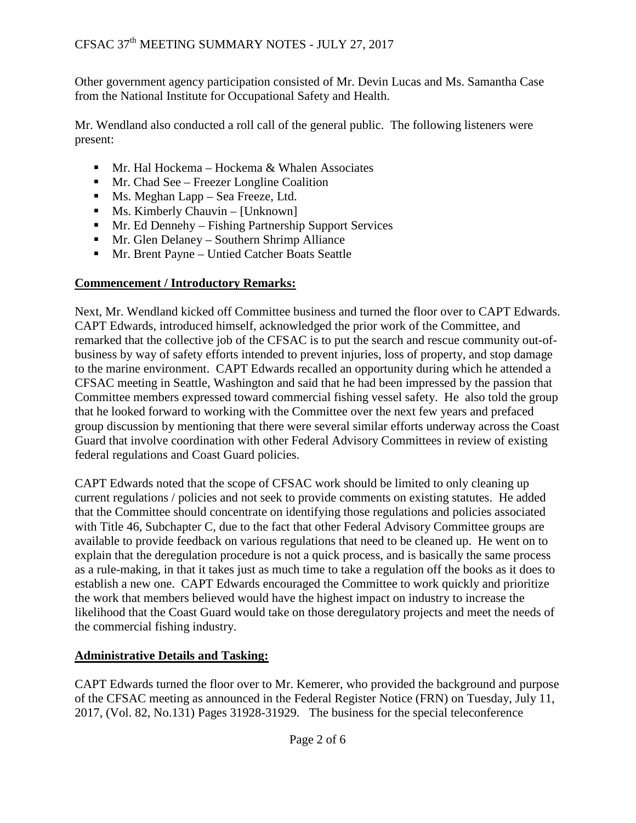Other government agency participation consisted of Mr. Devin Lucas and Ms. Samantha Case from the National Institute for Occupational Safety and Health.

Mr. Wendland also conducted a roll call of the general public. The following listeners were present:

- Mr. Hal Hockema Hockema & Whalen Associates
- **Mr.** Chad See Freezer Longline Coalition
- **Ms. Meghan Lapp Sea Freeze, Ltd.**
- $\blacksquare$  Ms. Kimberly Chauvin [Unknown]
- Mr. Ed Dennehy Fishing Partnership Support Services
- **Mr.** Glen Delaney Southern Shrimp Alliance
- Mr. Brent Payne Untied Catcher Boats Seattle

### **Commencement / Introductory Remarks:**

Next, Mr. Wendland kicked off Committee business and turned the floor over to CAPT Edwards. CAPT Edwards, introduced himself, acknowledged the prior work of the Committee, and remarked that the collective job of the CFSAC is to put the search and rescue community out-ofbusiness by way of safety efforts intended to prevent injuries, loss of property, and stop damage to the marine environment. CAPT Edwards recalled an opportunity during which he attended a CFSAC meeting in Seattle, Washington and said that he had been impressed by the passion that Committee members expressed toward commercial fishing vessel safety. He also told the group that he looked forward to working with the Committee over the next few years and prefaced group discussion by mentioning that there were several similar efforts underway across the Coast Guard that involve coordination with other Federal Advisory Committees in review of existing federal regulations and Coast Guard policies.

CAPT Edwards noted that the scope of CFSAC work should be limited to only cleaning up current regulations / policies and not seek to provide comments on existing statutes. He added that the Committee should concentrate on identifying those regulations and policies associated with Title 46, Subchapter C, due to the fact that other Federal Advisory Committee groups are available to provide feedback on various regulations that need to be cleaned up. He went on to explain that the deregulation procedure is not a quick process, and is basically the same process as a rule-making, in that it takes just as much time to take a regulation off the books as it does to establish a new one. CAPT Edwards encouraged the Committee to work quickly and prioritize the work that members believed would have the highest impact on industry to increase the likelihood that the Coast Guard would take on those deregulatory projects and meet the needs of the commercial fishing industry.

## **Administrative Details and Tasking:**

CAPT Edwards turned the floor over to Mr. Kemerer, who provided the background and purpose of the CFSAC meeting as announced in the Federal Register Notice (FRN) on Tuesday, July 11, 2017, (Vol. 82, No.131) Pages 31928-31929. The business for the special teleconference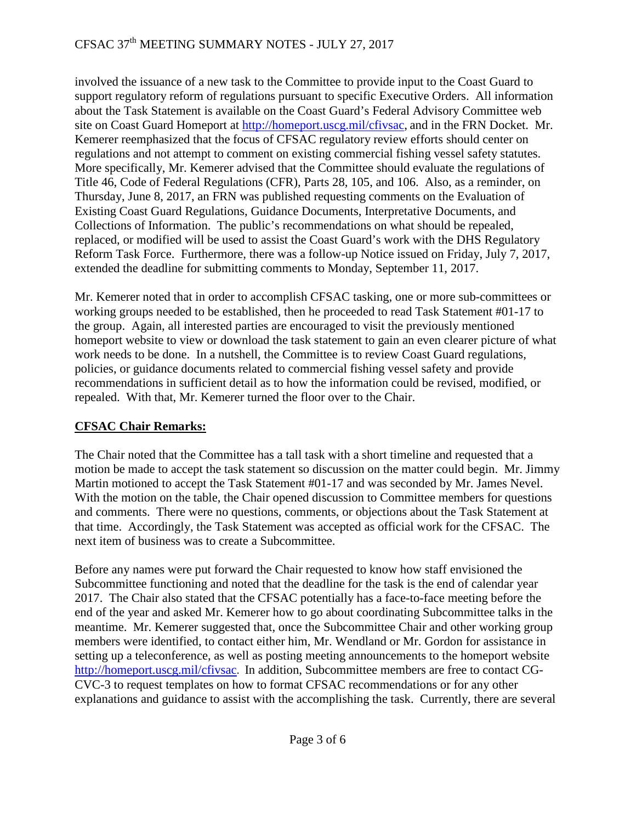## CFSAC 37<sup>th</sup> MEETING SUMMARY NOTES - JULY 27, 2017

involved the issuance of a new task to the Committee to provide input to the Coast Guard to support regulatory reform of regulations pursuant to specific Executive Orders. All information about the Task Statement is available on the Coast Guard's Federal Advisory Committee web site on Coast Guard Homeport at [http://homeport.uscg.mil/cfivsac,](http://homeport.uscg.mil/cfivsac) and in the FRN Docket. Mr. Kemerer reemphasized that the focus of CFSAC regulatory review efforts should center on regulations and not attempt to comment on existing commercial fishing vessel safety statutes. More specifically, Mr. Kemerer advised that the Committee should evaluate the regulations of Title 46, Code of Federal Regulations (CFR), Parts 28, 105, and 106. Also, as a reminder, on Thursday, June 8, 2017, an FRN was published requesting comments on the Evaluation of Existing Coast Guard Regulations, Guidance Documents, Interpretative Documents, and Collections of Information. The public's recommendations on what should be repealed, replaced, or modified will be used to assist the Coast Guard's work with the DHS Regulatory Reform Task Force. Furthermore, there was a follow-up Notice issued on Friday, July 7, 2017, extended the deadline for submitting comments to Monday, September 11, 2017.

Mr. Kemerer noted that in order to accomplish CFSAC tasking, one or more sub-committees or working groups needed to be established, then he proceeded to read Task Statement #01-17 to the group. Again, all interested parties are encouraged to visit the previously mentioned homeport website to view or download the task statement to gain an even clearer picture of what work needs to be done. In a nutshell, the Committee is to review Coast Guard regulations, policies, or guidance documents related to commercial fishing vessel safety and provide recommendations in sufficient detail as to how the information could be revised, modified, or repealed. With that, Mr. Kemerer turned the floor over to the Chair.

### **CFSAC Chair Remarks:**

The Chair noted that the Committee has a tall task with a short timeline and requested that a motion be made to accept the task statement so discussion on the matter could begin. Mr. Jimmy Martin motioned to accept the Task Statement #01-17 and was seconded by Mr. James Nevel. With the motion on the table, the Chair opened discussion to Committee members for questions and comments. There were no questions, comments, or objections about the Task Statement at that time. Accordingly, the Task Statement was accepted as official work for the CFSAC. The next item of business was to create a Subcommittee.

Before any names were put forward the Chair requested to know how staff envisioned the Subcommittee functioning and noted that the deadline for the task is the end of calendar year 2017. The Chair also stated that the CFSAC potentially has a face-to-face meeting before the end of the year and asked Mr. Kemerer how to go about coordinating Subcommittee talks in the meantime. Mr. Kemerer suggested that, once the Subcommittee Chair and other working group members were identified, to contact either him, Mr. Wendland or Mr. Gordon for assistance in setting up a teleconference, as well as posting meeting announcements to the homeport website <http://homeport.uscg.mil/cfivsac>. In addition, Subcommittee members are free to contact CG-CVC-3 to request templates on how to format CFSAC recommendations or for any other explanations and guidance to assist with the accomplishing the task. Currently, there are several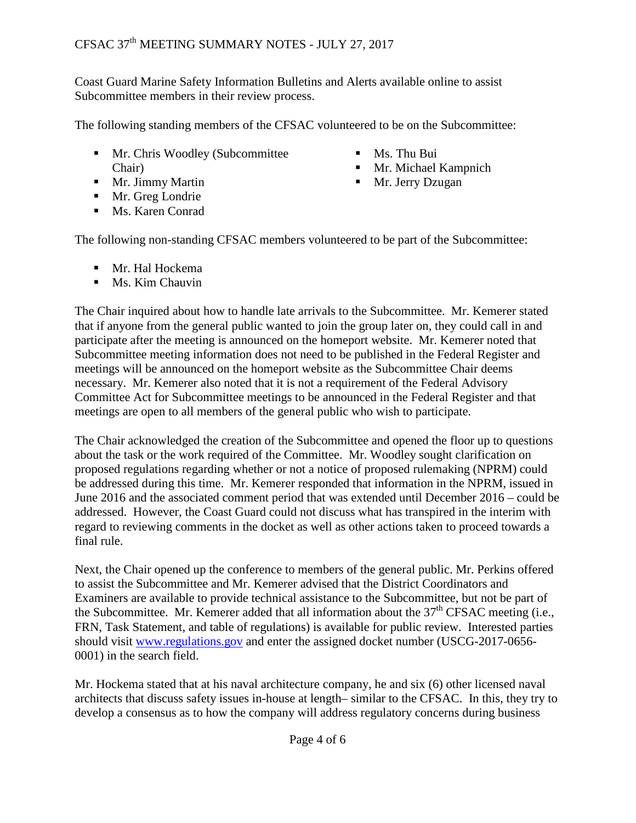Coast Guard Marine Safety Information Bulletins and Alerts available online to assist Subcommittee members in their review process.

The following standing members of the CFSAC volunteered to be on the Subcommittee:

- **Mr.** Chris Woodley (Subcommittee Chair)
- Mr. Jimmy Martin
- $\blacksquare$  Mr. Greg Londrie
- **Ms. Karen Conrad**
- $\blacksquare$  Ms. Thu Bui
- **Mr. Michael Kampnich**
- Mr. Jerry Dzugan

The following non-standing CFSAC members volunteered to be part of the Subcommittee:

- Mr. Hal Hockema
- $\blacksquare$  Ms. Kim Chauvin

The Chair inquired about how to handle late arrivals to the Subcommittee. Mr. Kemerer stated that if anyone from the general public wanted to join the group later on, they could call in and participate after the meeting is announced on the homeport website. Mr. Kemerer noted that Subcommittee meeting information does not need to be published in the Federal Register and meetings will be announced on the homeport website as the Subcommittee Chair deems necessary. Mr. Kemerer also noted that it is not a requirement of the Federal Advisory Committee Act for Subcommittee meetings to be announced in the Federal Register and that meetings are open to all members of the general public who wish to participate.

The Chair acknowledged the creation of the Subcommittee and opened the floor up to questions about the task or the work required of the Committee. Mr. Woodley sought clarification on proposed regulations regarding whether or not a notice of proposed rulemaking (NPRM) could be addressed during this time. Mr. Kemerer responded that information in the NPRM, issued in June 2016 and the associated comment period that was extended until December 2016 – could be addressed. However, the Coast Guard could not discuss what has transpired in the interim with regard to reviewing comments in the docket as well as other actions taken to proceed towards a final rule.

Next, the Chair opened up the conference to members of the general public. Mr. Perkins offered to assist the Subcommittee and Mr. Kemerer advised that the District Coordinators and Examiners are available to provide technical assistance to the Subcommittee, but not be part of the Subcommittee. Mr. Kemerer added that all information about the  $37<sup>th</sup> CFSAC$  meeting (i.e., FRN, Task Statement, and table of regulations) is available for public review. Interested parties should visit [www.regulations.gov](http://www.regulations.gov/) and enter the assigned docket number (USCG-2017-0656- 0001) in the search field.

Mr. Hockema stated that at his naval architecture company, he and six (6) other licensed naval architects that discuss safety issues in-house at length– similar to the CFSAC. In this, they try to develop a consensus as to how the company will address regulatory concerns during business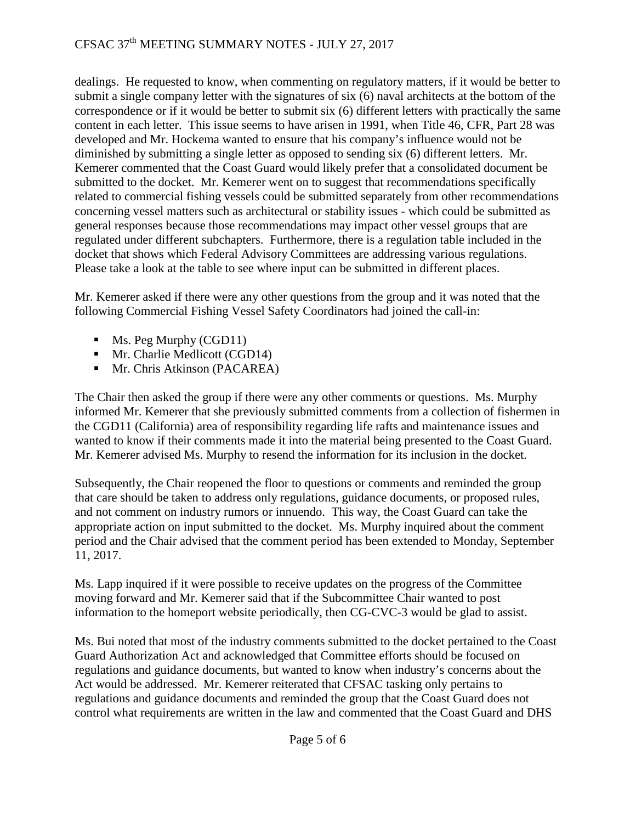# CFSAC 37<sup>th</sup> MEETING SUMMARY NOTES - JULY 27, 2017

dealings. He requested to know, when commenting on regulatory matters, if it would be better to submit a single company letter with the signatures of six (6) naval architects at the bottom of the correspondence or if it would be better to submit six (6) different letters with practically the same content in each letter. This issue seems to have arisen in 1991, when Title 46, CFR, Part 28 was developed and Mr. Hockema wanted to ensure that his company's influence would not be diminished by submitting a single letter as opposed to sending six (6) different letters. Mr. Kemerer commented that the Coast Guard would likely prefer that a consolidated document be submitted to the docket. Mr. Kemerer went on to suggest that recommendations specifically related to commercial fishing vessels could be submitted separately from other recommendations concerning vessel matters such as architectural or stability issues - which could be submitted as general responses because those recommendations may impact other vessel groups that are regulated under different subchapters. Furthermore, there is a regulation table included in the docket that shows which Federal Advisory Committees are addressing various regulations. Please take a look at the table to see where input can be submitted in different places.

Mr. Kemerer asked if there were any other questions from the group and it was noted that the following Commercial Fishing Vessel Safety Coordinators had joined the call-in:

- Ms. Peg Murphy (CGD11)
- **Mr.** Charlie Medlicott (CGD14)
- **Mr.** Chris Atkinson (PACAREA)

The Chair then asked the group if there were any other comments or questions. Ms. Murphy informed Mr. Kemerer that she previously submitted comments from a collection of fishermen in the CGD11 (California) area of responsibility regarding life rafts and maintenance issues and wanted to know if their comments made it into the material being presented to the Coast Guard. Mr. Kemerer advised Ms. Murphy to resend the information for its inclusion in the docket.

Subsequently, the Chair reopened the floor to questions or comments and reminded the group that care should be taken to address only regulations, guidance documents, or proposed rules, and not comment on industry rumors or innuendo. This way, the Coast Guard can take the appropriate action on input submitted to the docket. Ms. Murphy inquired about the comment period and the Chair advised that the comment period has been extended to Monday, September 11, 2017.

Ms. Lapp inquired if it were possible to receive updates on the progress of the Committee moving forward and Mr. Kemerer said that if the Subcommittee Chair wanted to post information to the homeport website periodically, then CG-CVC-3 would be glad to assist.

Ms. Bui noted that most of the industry comments submitted to the docket pertained to the Coast Guard Authorization Act and acknowledged that Committee efforts should be focused on regulations and guidance documents, but wanted to know when industry's concerns about the Act would be addressed. Mr. Kemerer reiterated that CFSAC tasking only pertains to regulations and guidance documents and reminded the group that the Coast Guard does not control what requirements are written in the law and commented that the Coast Guard and DHS